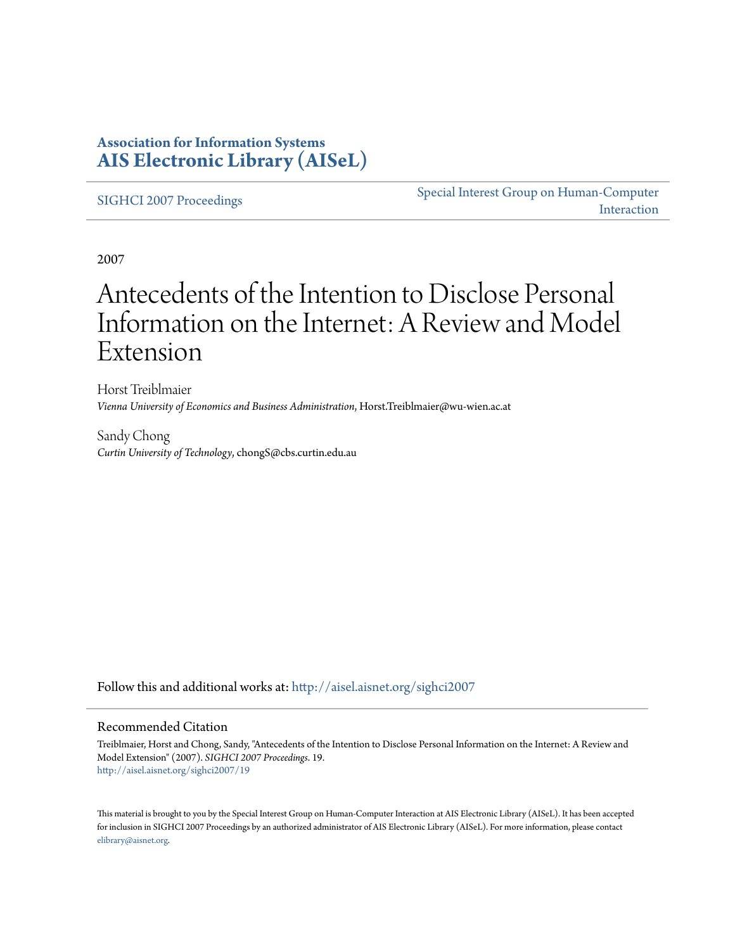## **Association for Information Systems [AIS Electronic Library \(AISeL\)](http://aisel.aisnet.org?utm_source=aisel.aisnet.org%2Fsighci2007%2F19&utm_medium=PDF&utm_campaign=PDFCoverPages)**

[SIGHCI 2007 Proceedings](http://aisel.aisnet.org/sighci2007?utm_source=aisel.aisnet.org%2Fsighci2007%2F19&utm_medium=PDF&utm_campaign=PDFCoverPages)

[Special Interest Group on Human-Computer](http://aisel.aisnet.org/sighci?utm_source=aisel.aisnet.org%2Fsighci2007%2F19&utm_medium=PDF&utm_campaign=PDFCoverPages) [Interaction](http://aisel.aisnet.org/sighci?utm_source=aisel.aisnet.org%2Fsighci2007%2F19&utm_medium=PDF&utm_campaign=PDFCoverPages)

2007

# Antecedents of the Intention to Disclose Personal Information on the Internet: A Review and Model Extension

Horst Treiblmaier *Vienna University of Economics and Business Administration*, Horst.Treiblmaier@wu-wien.ac.at

Sandy Chong *Curtin University of Technology*, chongS@cbs.curtin.edu.au

Follow this and additional works at: [http://aisel.aisnet.org/sighci2007](http://aisel.aisnet.org/sighci2007?utm_source=aisel.aisnet.org%2Fsighci2007%2F19&utm_medium=PDF&utm_campaign=PDFCoverPages)

#### Recommended Citation

Treiblmaier, Horst and Chong, Sandy, "Antecedents of the Intention to Disclose Personal Information on the Internet: A Review and Model Extension" (2007). *SIGHCI 2007 Proceedings*. 19. [http://aisel.aisnet.org/sighci2007/19](http://aisel.aisnet.org/sighci2007/19?utm_source=aisel.aisnet.org%2Fsighci2007%2F19&utm_medium=PDF&utm_campaign=PDFCoverPages)

This material is brought to you by the Special Interest Group on Human-Computer Interaction at AIS Electronic Library (AISeL). It has been accepted for inclusion in SIGHCI 2007 Proceedings by an authorized administrator of AIS Electronic Library (AISeL). For more information, please contact [elibrary@aisnet.org.](mailto:elibrary@aisnet.org%3E)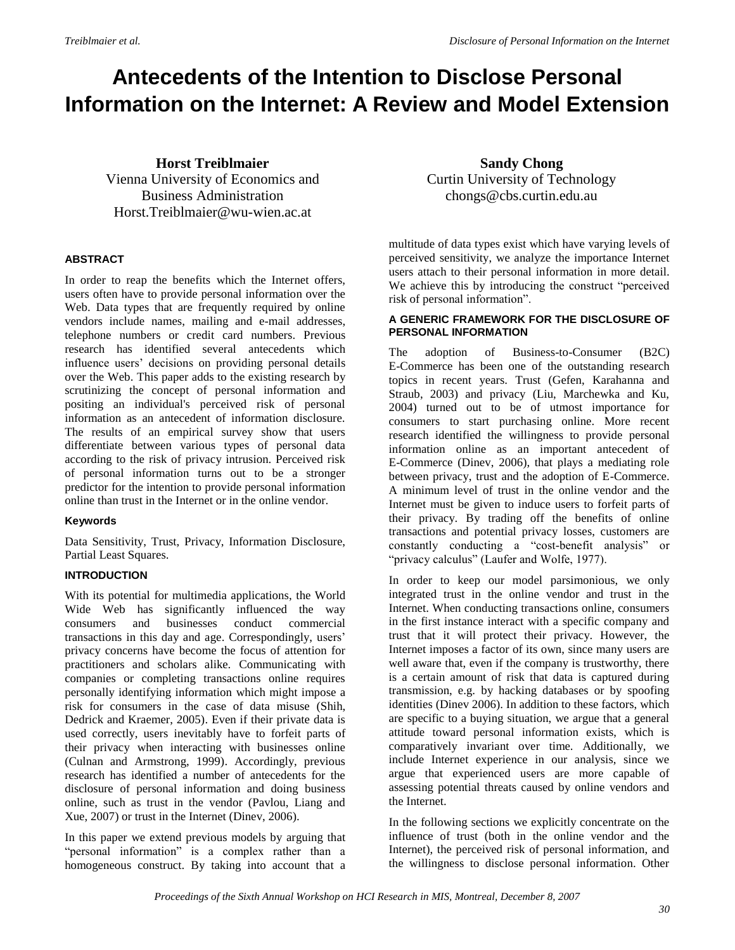## **Antecedents of the Intention to Disclose Personal Information on the Internet: A Review and Model Extension**

### **Horst Treiblmaier**

Vienna University of Economics and Business Administration Horst.Treiblmaier@wu-wien.ac.at

#### **ABSTRACT**

In order to reap the benefits which the Internet offers, users often have to provide personal information over the Web. Data types that are frequently required by online vendors include names, mailing and e-mail addresses, telephone numbers or credit card numbers. Previous research has identified several antecedents which influence users" decisions on providing personal details over the Web. This paper adds to the existing research by scrutinizing the concept of personal information and positing an individual's perceived risk of personal information as an antecedent of information disclosure. The results of an empirical survey show that users differentiate between various types of personal data according to the risk of privacy intrusion. Perceived risk of personal information turns out to be a stronger predictor for the intention to provide personal information online than trust in the Internet or in the online vendor.

#### <span id="page-1-0"></span>**Keywords**

Data Sensitivity, Trust, Privacy, Information Disclosure, Partial Least Squares.

#### **INTRODUCTION**

With its potential for multimedia applications, the World Wide Web has significantly influenced the way consumers and businesses conduct commercial transactions in this day and age. Correspondingly, users" privacy concerns have become the focus of attention for practitioners and scholars alike. Communicating with companies or completing transactions online requires personally identifying information which might impose a risk for consumers in the case of data misuse (Shih, Dedrick and Kraemer, 2005). Even if their private data is used correctly, users inevitably have to forfeit parts of their privacy when interacting with businesses online (Culnan and Armstrong, 1999). Accordingly, previous research has identified a number of antecedents for the disclosure of personal information and doing business online, such as trust in the vendor (Pavlou, Liang and Xue, 2007) or trust in the Internet (Dinev, 2006).

In this paper we extend previous models by arguing that "personal information" is a complex rather than a homogeneous construct. By taking into account that a

**Sandy Chong** Curtin University of Technology chongs@cbs.curtin.edu.au

multitude of data types exist which have varying levels of perceived sensitivity, we analyze the importance Internet users attach to their personal information in more detail. We achieve this by introducing the construct "perceived risk of personal information".

#### **A GENERIC FRAMEWORK FOR THE DISCLOSURE OF PERSONAL INFORMATION**

The adoption of Business-to-Consumer (B2C) E-Commerce has been one of the outstanding research topics in recent years. Trust (Gefen, Karahanna and Straub, 2003) and privacy (Liu, Marchewka and Ku, 2004) turned out to be of utmost importance for consumers to start purchasing online. More recent research identified the willingness to provide personal information online as an important antecedent of E-Commerce (Dinev, 2006), that plays a mediating role between privacy, trust and the adoption of E-Commerce. A minimum level of trust in the online vendor and the Internet must be given to induce users to forfeit parts of their privacy. By trading off the benefits of online transactions and potential privacy losses, customers are constantly conducting a "cost-benefit analysis" or "privacy calculus" (Laufer and Wolfe, 1977).

In order to keep our model parsimonious, we only integrated trust in the online vendor and trust in the Internet. When conducting transactions online, consumers in the first instance interact with a specific company and trust that it will protect their privacy. However, the Internet imposes a factor of its own, since many users are well aware that, even if the company is trustworthy, there is a certain amount of risk that data is captured during transmission, e.g. by hacking databases or by spoofing identities (Dinev 2006). In addition to these factors, which are specific to a buying situation, we argue that a general attitude toward personal information exists, which is comparatively invariant over time. Additionally, we include Internet experience in our analysis, since we argue that experienced users are more capable of assessing potential threats caused by online vendors and the Internet.

In the following sections we explicitly concentrate on the influence of trust (both in the online vendor and the Internet), the perceived risk of personal information, and the willingness to disclose personal information. Other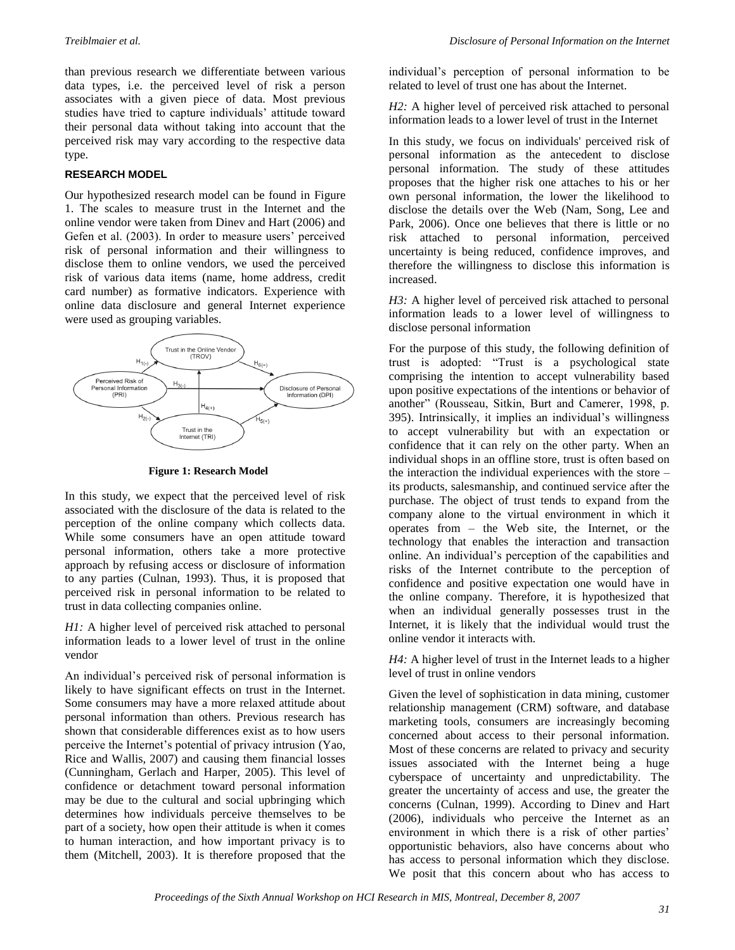than previous research we differentiate between various data types, i.e. the perceived level of risk a person associates with a given piece of data. Most previous studies have tried to capture individuals' attitude toward their personal data without taking into account that the perceived risk may vary according to the respective data type.

#### **RESEARCH MODEL**

Our hypothesized research model can be found in [Figure](#page-1-0)  [1.](#page-1-0) The scales to measure trust in the Internet and the online vendor were taken from Dinev and Hart (2006) and Gefen et al. (2003). In order to measure users' perceived risk of personal information and their willingness to disclose them to online vendors, we used the perceived risk of various data items (name, home address, credit card number) as formative indicators. Experience with online data disclosure and general Internet experience were used as grouping variables.



**Figure 1: Research Model**

In this study, we expect that the perceived level of risk associated with the disclosure of the data is related to the perception of the online company which collects data. While some consumers have an open attitude toward personal information, others take a more protective approach by refusing access or disclosure of information to any parties (Culnan, 1993). Thus, it is proposed that perceived risk in personal information to be related to trust in data collecting companies online.

*H1*: A higher level of perceived risk attached to personal information leads to a lower level of trust in the online vendor

An individual"s perceived risk of personal information is likely to have significant effects on trust in the Internet. Some consumers may have a more relaxed attitude about personal information than others. Previous research has shown that considerable differences exist as to how users perceive the Internet's potential of privacy intrusion (Yao, Rice and Wallis, 2007) and causing them financial losses (Cunningham, Gerlach and Harper, 2005). This level of confidence or detachment toward personal information may be due to the cultural and social upbringing which determines how individuals perceive themselves to be part of a society, how open their attitude is when it comes to human interaction, and how important privacy is to them (Mitchell, 2003). It is therefore proposed that the individual"s perception of personal information to be related to level of trust one has about the Internet.

*H2:* A higher level of perceived risk attached to personal information leads to a lower level of trust in the Internet

In this study, we focus on individuals' perceived risk of personal information as the antecedent to disclose personal information. The study of these attitudes proposes that the higher risk one attaches to his or her own personal information, the lower the likelihood to disclose the details over the Web (Nam, Song, Lee and Park, 2006). Once one believes that there is little or no risk attached to personal information, perceived uncertainty is being reduced, confidence improves, and therefore the willingness to disclose this information is increased.

*H3:* A higher level of perceived risk attached to personal information leads to a lower level of willingness to disclose personal information

<span id="page-2-0"></span>For the purpose of this study, the following definition of trust is adopted: "Trust is a psychological state comprising the intention to accept vulnerability based upon positive expectations of the intentions or behavior of another" (Rousseau, Sitkin, Burt and Camerer, 1998, p. 395). Intrinsically, it implies an individual"s willingness to accept vulnerability but with an expectation or confidence that it can rely on the other party. When an individual shops in an offline store, trust is often based on the interaction the individual experiences with the store – its products, salesmanship, and continued service after the purchase. The object of trust tends to expand from the company alone to the virtual environment in which it operates from – the Web site, the Internet, or the technology that enables the interaction and transaction online. An individual"s perception of the capabilities and risks of the Internet contribute to the perception of confidence and positive expectation one would have in the online company. Therefore, it is hypothesized that when an individual generally possesses trust in the Internet, it is likely that the individual would trust the online vendor it interacts with.

<span id="page-2-1"></span>*H4:* A higher level of trust in the Internet leads to a higher level of trust in online vendors

Given the level of sophistication in data mining, customer relationship management (CRM) software, and database marketing tools, consumers are increasingly becoming concerned about access to their personal information. Most of these concerns are related to privacy and security issues associated with the Internet being a huge cyberspace of uncertainty and unpredictability. The greater the uncertainty of access and use, the greater the concerns (Culnan, 1999). According to Dinev and Hart (2006), individuals who perceive the Internet as an environment in which there is a risk of other parties' opportunistic behaviors, also have concerns about who has access to personal information which they disclose. We posit that this concern about who has access to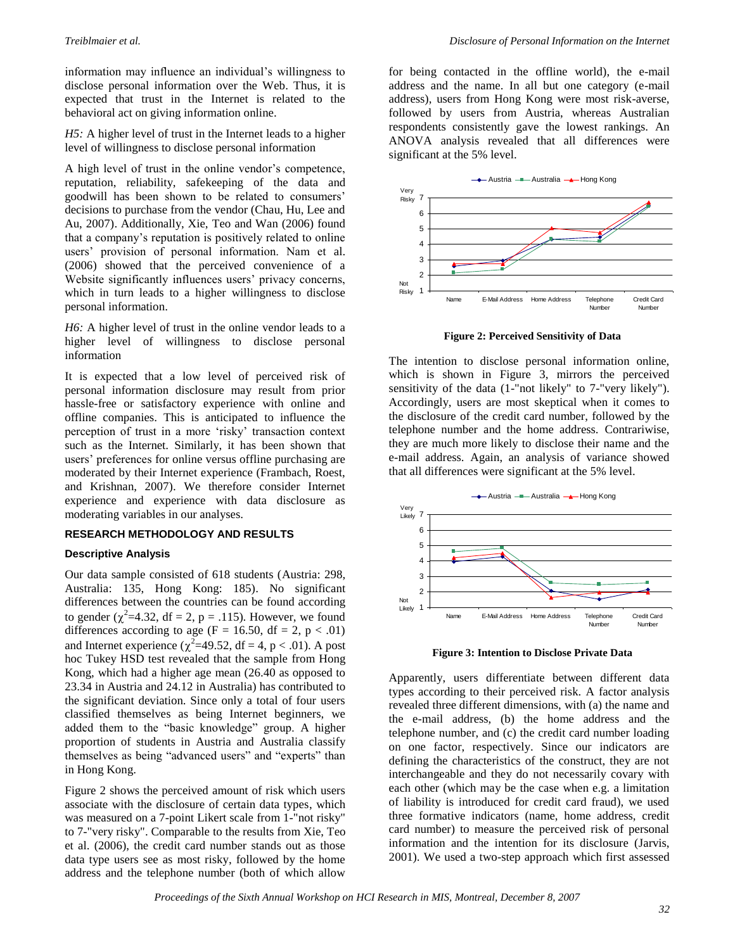information may influence an individual's willingness to disclose personal information over the Web. Thus, it is expected that trust in the Internet is related to the behavioral act on giving information online.

*H5:* A higher level of trust in the Internet leads to a higher level of willingness to disclose personal information

A high level of trust in the online vendor"s competence, reputation, reliability, safekeeping of the data and goodwill has been shown to be related to consumers" decisions to purchase from the vendor (Chau, Hu, Lee and Au, 2007). Additionally, Xie, Teo and Wan (2006) found that a company"s reputation is positively related to online users" provision of personal information. Nam et al. (2006) showed that the perceived convenience of a Website significantly influences users' privacy concerns, which in turn leads to a higher willingness to disclose personal information.

*H6:* A higher level of trust in the online vendor leads to a higher level of willingness to disclose personal information

It is expected that a low level of perceived risk of personal information disclosure may result from prior hassle-free or satisfactory experience with online and offline companies. This is anticipated to influence the perception of trust in a more "risky" transaction context such as the Internet. Similarly, it has been shown that users" preferences for online versus offline purchasing are moderated by their Internet experience (Frambach, Roest, and Krishnan, 2007). We therefore consider Internet experience and experience with data disclosure as moderating variables in our analyses.

#### **RESEARCH METHODOLOGY AND RESULTS**

#### <span id="page-3-0"></span>**Descriptive Analysis**

Our data sample consisted of 618 students (Austria: 298, Australia: 135, Hong Kong: 185). No significant differences between the countries can be found according to gender  $(\chi^2=4.32, df = 2, p = .115)$ . However, we found differences according to age (F = 16.50, df = 2, p < .01) and Internet experience ( $\chi^2$ =49.52, df = 4, p < .01). A post hoc Tukey HSD test revealed that the sample from Hong Kong, which had a higher age mean (26.40 as opposed to 23.34 in Austria and 24.12 in Australia) has contributed to the significant deviation. Since only a total of four users classified themselves as being Internet beginners, we added them to the "basic knowledge" group. A higher proportion of students in Austria and Australia classify themselves as being "advanced users" and "experts" than in Hong Kong.

[Figure 2](#page-2-0) shows the perceived amount of risk which users associate with the disclosure of certain data types, which was measured on a 7-point Likert scale from 1-"not risky" to 7-"very risky". Comparable to the results from Xie, Teo et al. (2006), the credit card number stands out as those data type users see as most risky, followed by the home address and the telephone number (both of which allow

for being contacted in the offline world), the e-mail address and the name. In all but one category (e-mail address), users from Hong Kong were most risk-averse, followed by users from Austria, whereas Australian respondents consistently gave the lowest rankings. An ANOVA analysis revealed that all differences were significant at the 5% level.



**Figure 2: Perceived Sensitivity of Data**

The intention to disclose personal information online, which is shown in [Figure 3,](#page-2-1) mirrors the perceived sensitivity of the data (1-"not likely" to 7-"very likely"). Accordingly, users are most skeptical when it comes to the disclosure of the credit card number, followed by the telephone number and the home address. Contrariwise, they are much more likely to disclose their name and the e-mail address. Again, an analysis of variance showed that all differences were significant at the 5% level.



**Figure 3: Intention to Disclose Private Data**

Apparently, users differentiate between different data types according to their perceived risk. A factor analysis revealed three different dimensions, with (a) the name and the e-mail address, (b) the home address and the telephone number, and (c) the credit card number loading on one factor, respectively. Since our indicators are defining the characteristics of the construct, they are not interchangeable and they do not necessarily covary with each other (which may be the case when e.g. a limitation of liability is introduced for credit card fraud), we used three formative indicators (name, home address, credit card number) to measure the perceived risk of personal information and the intention for its disclosure (Jarvis, 2001). We used a two-step approach which first assessed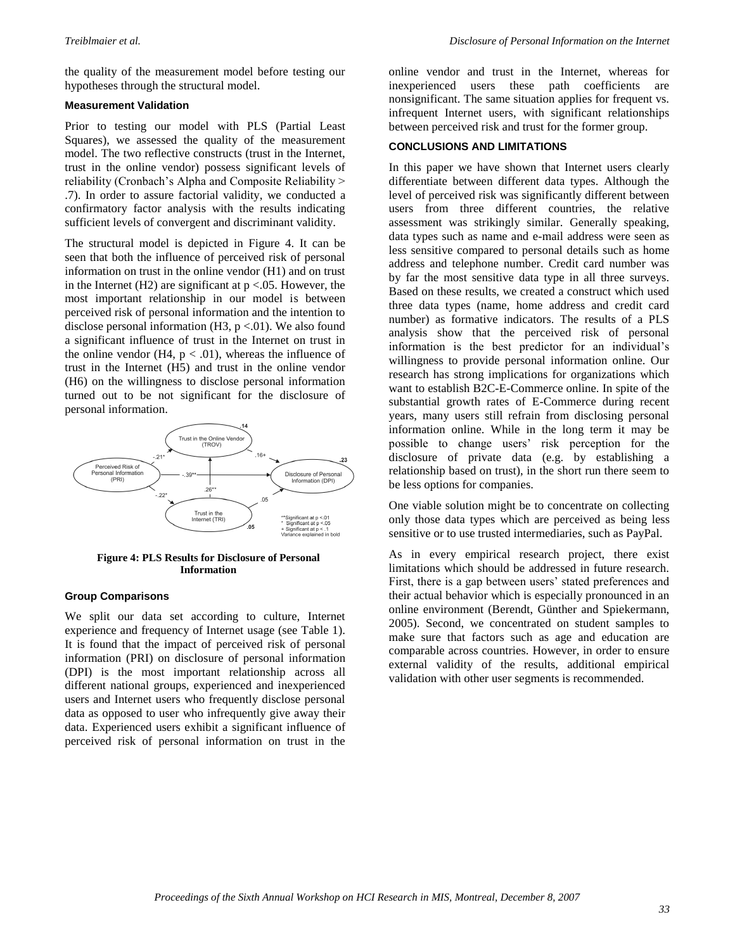the quality of the measurement model before testing our hypotheses through the structural model.

#### **Measurement Validation**

Prior to testing our model with PLS (Partial Least Squares), we assessed the quality of the measurement model. The two reflective constructs (trust in the Internet, trust in the online vendor) possess significant levels of reliability (Cronbach"s Alpha and Composite Reliability > .7). In order to assure factorial validity, we conducted a confirmatory factor analysis with the results indicating sufficient levels of convergent and discriminant validity.

The structural model is depicted in [Figure 4.](#page-3-0) It can be seen that both the influence of perceived risk of personal information on trust in the online vendor (H1) and on trust in the Internet (H2) are significant at  $p < 0.05$ . However, the most important relationship in our model is between perceived risk of personal information and the intention to disclose personal information  $(H3, p < 0.01)$ . We also found a significant influence of trust in the Internet on trust in the online vendor (H4,  $p < .01$ ), whereas the influence of trust in the Internet (H5) and trust in the online vendor (H6) on the willingness to disclose personal information turned out to be not significant for the disclosure of personal information.



#### **Figure 4: PLS Results for Disclosure of Personal Information**

#### **Group Comparisons**

We split our data set according to culture, Internet experience and frequency of Internet usage (see Table 1). It is found that the impact of perceived risk of personal information (PRI) on disclosure of personal information (DPI) is the most important relationship across all different national groups, experienced and inexperienced users and Internet users who frequently disclose personal data as opposed to user who infrequently give away their data. Experienced users exhibit a significant influence of perceived risk of personal information on trust in the online vendor and trust in the Internet, whereas for inexperienced users these path coefficients are nonsignificant. The same situation applies for frequent vs. infrequent Internet users, with significant relationships between perceived risk and trust for the former group.

#### **CONCLUSIONS AND LIMITATIONS**

In this paper we have shown that Internet users clearly differentiate between different data types. Although the level of perceived risk was significantly different between users from three different countries, the relative assessment was strikingly similar. Generally speaking, data types such as name and e-mail address were seen as less sensitive compared to personal details such as home address and telephone number. Credit card number was by far the most sensitive data type in all three surveys. Based on these results, we created a construct which used three data types (name, home address and credit card number) as formative indicators. The results of a PLS analysis show that the perceived risk of personal information is the best predictor for an individual"s willingness to provide personal information online. Our research has strong implications for organizations which want to establish B2C-E-Commerce online. In spite of the substantial growth rates of E-Commerce during recent years, many users still refrain from disclosing personal information online. While in the long term it may be possible to change users' risk perception for the disclosure of private data (e.g. by establishing a relationship based on trust), in the short run there seem to be less options for companies.

One viable solution might be to concentrate on collecting only those data types which are perceived as being less sensitive or to use trusted intermediaries, such as PayPal.

As in every empirical research project, there exist limitations which should be addressed in future research. First, there is a gap between users' stated preferences and their actual behavior which is especially pronounced in an online environment (Berendt, Günther and Spiekermann, 2005). Second, we concentrated on student samples to make sure that factors such as age and education are comparable across countries. However, in order to ensure external validity of the results, additional empirical validation with other user segments is recommended.